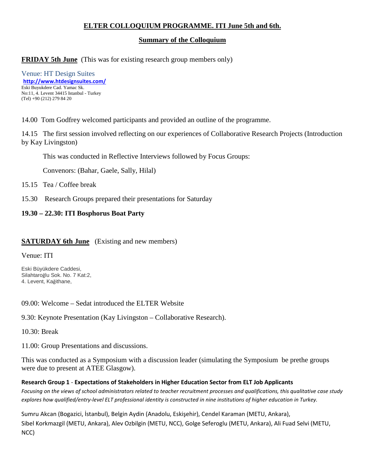# **ELTER COLLOQUIUM PROGRAMME. ITI June 5th and 6th.**

#### **Summary of the Colloquium**

## **FRIDAY 5th June** (This was for existing research group members only)

Venue: HT Design Suites **<http://www.htdesignsuites.com/>** Eski Buyukdere Cad. Yamac Sk. No:11, 4. Levent 34415 Istanbul - Turkey (Tel) +90 (212) 279 84 20

14.00 Tom Godfrey welcomed participants and provided an outline of the programme.

14.15 The first session involved reflecting on our experiences of Collaborative Research Projects (Introduction by Kay Livingston)

This was conducted in Reflective Interviews followed by Focus Groups:

Convenors: (Bahar, Gaele, Sally, Hilal)

15.15 Tea / Coffee break

15.30 Research Groups prepared their presentations for Saturday

### **19.30 – 22.30: ITI Bosphorus Boat Party**

### **SATURDAY 6th June** (Existing and new members)

Venue: ITI

Eski Büyükdere Caddesi, Silahtaroğlu Sok. No. 7 Kat:2, 4. Levent, Kağithane,

09.00: Welcome – Sedat introduced the ELTER Website

9.30: Keynote Presentation (Kay Livingston – Collaborative Research).

10.30: Break

11.00: Group Presentations and discussions.

This was conducted as a Symposium with a discussion leader (simulating the Symposium be prethe groups were due to present at ATEE Glasgow).

**Research Group 1** - **Expectations of Stakeholders in Higher Education Sector from ELT Job Applicants** *Focusing on the views of school administrators related to teacher recruitment processes and qualifications, this qualitative case study explores how qualified/entry-level ELT professional identity is constructed in nine institutions of higher education in Turkey.*

Sumru Akcan (Bogazici, İstanbul), Belgin Aydin (Anadolu, Eskişehir), Cendel Karaman (METU, Ankara), Sibel Korkmazgil (METU, Ankara), Alev Ozbilgin (METU, NCC), Golge Seferoglu (METU, Ankara), Ali Fuad Selvi (METU, NCC)